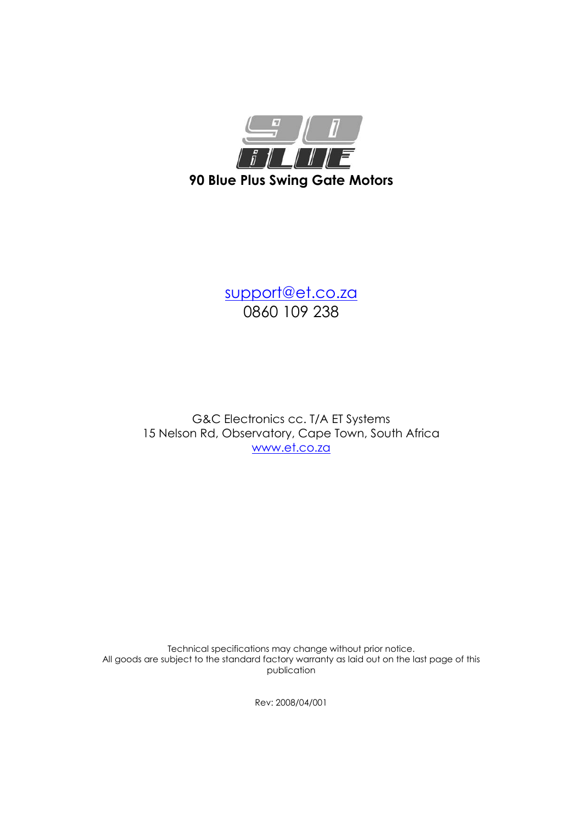

support@et.co.za 0860 109 238

G&C Electronics cc. T/A ET Systems 15 Nelson Rd, Observatory, Cape Town, South Africa www.et.co.za

Technical specifications may change without prior notice. All goods are subject to the standard factory warranty as laid out on the last page of this publication

Rev: 2008/04/001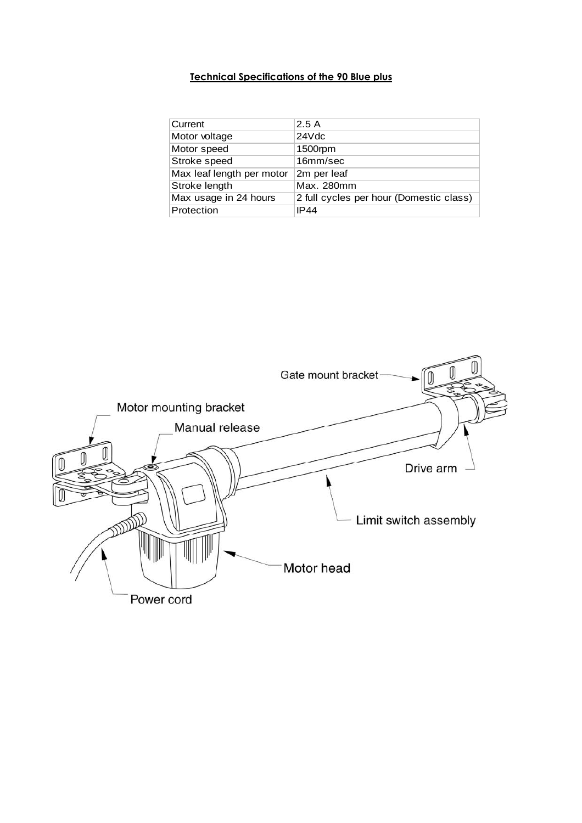# Technical Specifications of the 90 Blue plus

| Current                   | 2.5A                                    |
|---------------------------|-----------------------------------------|
| Motor voltage             | 24Vdc                                   |
| Motor speed               | 1500rpm                                 |
| Stroke speed              | 16mm/sec                                |
| Max leaf length per motor | 2m per leaf                             |
| Stroke length             | Max. 280mm                              |
| Max usage in 24 hours     | 2 full cycles per hour (Domestic class) |
| Protection                | IP44                                    |

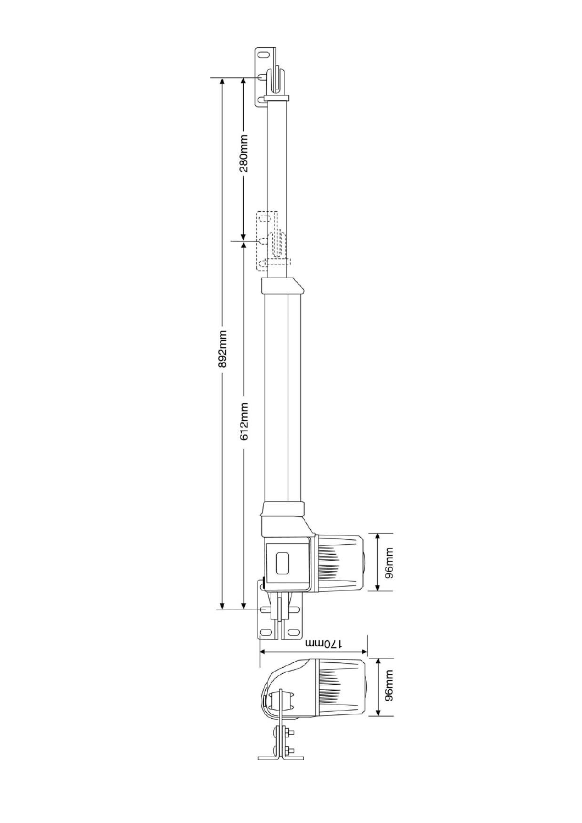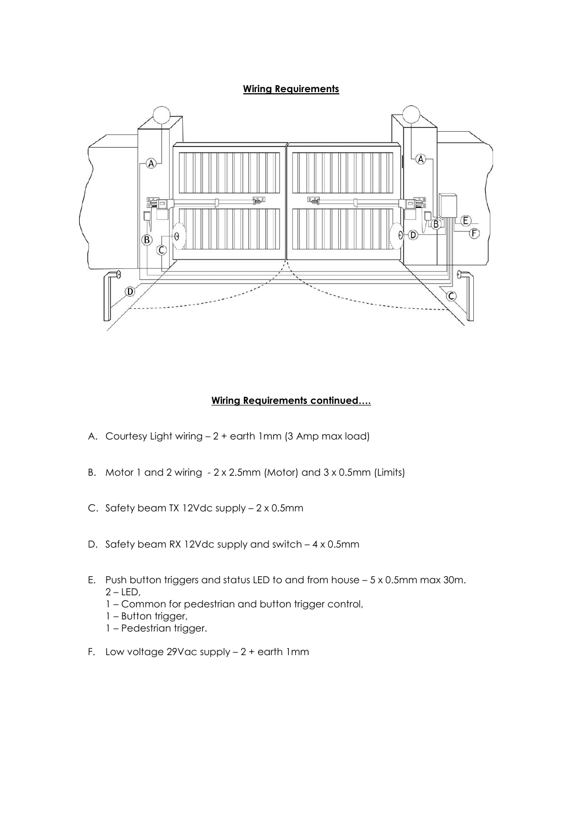#### **Wiring Requirements**



### Wiring Requirements continued….

- A. Courtesy Light wiring 2 + earth 1mm (3 Amp max load)
- B. Motor 1 and 2 wiring 2 x 2.5mm (Motor) and 3 x 0.5mm (Limits)
- C. Safety beam TX 12Vdc supply 2 x 0.5mm
- D. Safety beam RX 12Vdc supply and switch 4 x 0.5mm
- E. Push button triggers and status LED to and from house 5 x 0.5mm max 30m.  $2 - LED$ ,
	- 1 Common for pedestrian and button trigger control,
	- 1 Button trigger,
	- 1 Pedestrian trigger.
- F. Low voltage 29Vac supply 2 + earth 1mm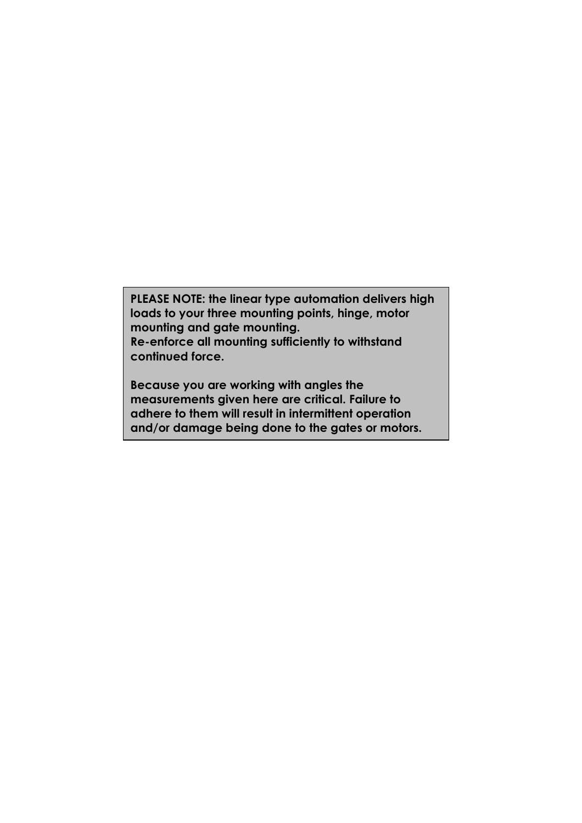PLEASE NOTE: the linear type automation delivers high loads to your three mounting points, hinge, motor mounting and gate mounting. Re-enforce all mounting sufficiently to withstand continued force.

Because you are working with angles the measurements given here are critical. Failure to adhere to them will result in intermittent operation and/or damage being done to the gates or motors.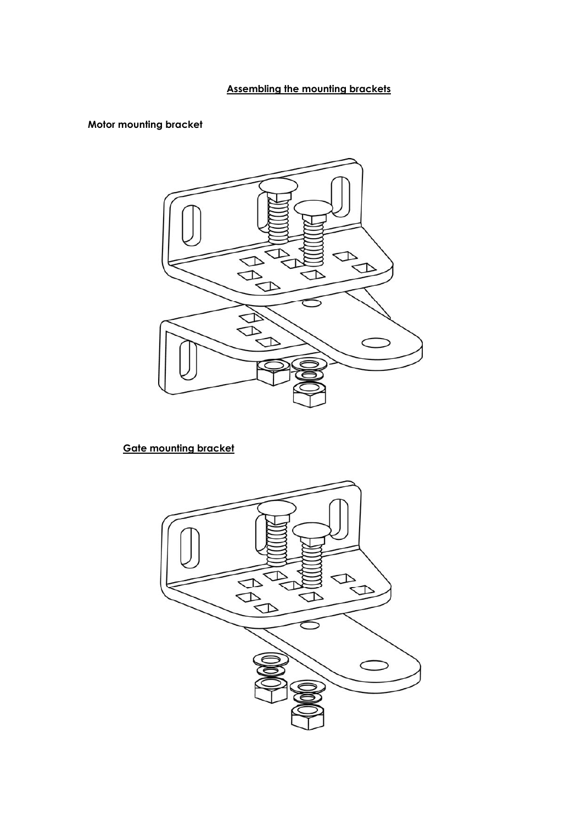# Assembling the mounting brackets

## Motor mounting bracket



# Gate mounting bracket

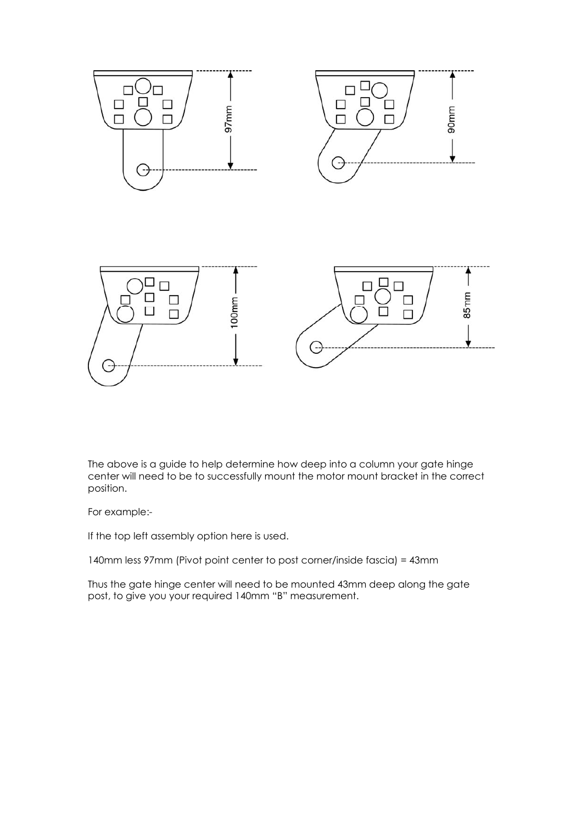

The above is a guide to help determine how deep into a column your gate hinge center will need to be to successfully mount the motor mount bracket in the correct position.

For example:-

If the top left assembly option here is used.

140mm less 97mm (Pivot point center to post corner/inside fascia) = 43mm

Thus the gate hinge center will need to be mounted 43mm deep along the gate post, to give you your required 140mm "B" measurement.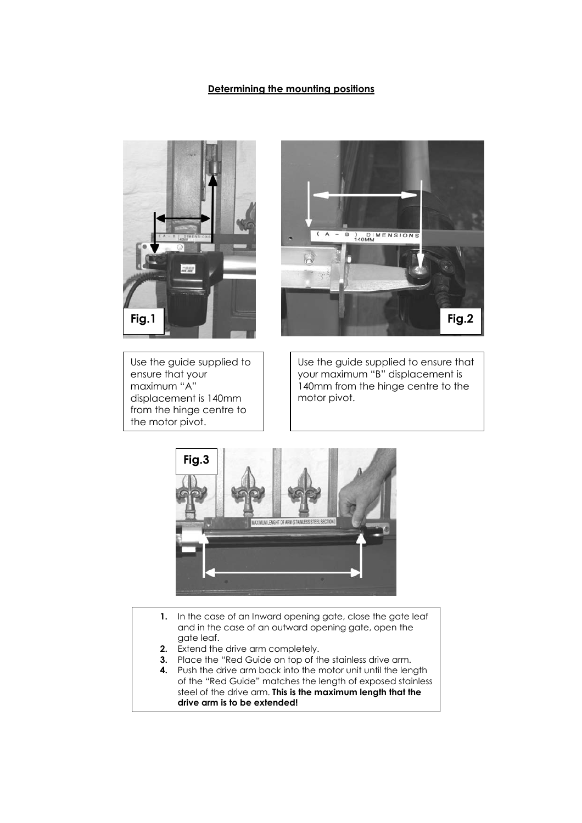### Determining the mounting positions





Use the guide supplied to ensure that your maximum "A" displacement is 140mm from the hinge centre to the motor pivot.

Use the guide supplied to ensure that your maximum "B" displacement is 140mm from the hinge centre to the motor pivot.



- 1. In the case of an Inward opening gate, close the gate leaf and in the case of an outward opening gate, open the gate leaf.
- **2.** Extend the drive arm completely.
- **3.** Place the "Red Guide on top of the stainless drive arm.
- 4. Push the drive arm back into the motor unit until the length of the "Red Guide" matches the length of exposed stainless steel of the drive arm. This is the maximum length that the drive arm is to be extended!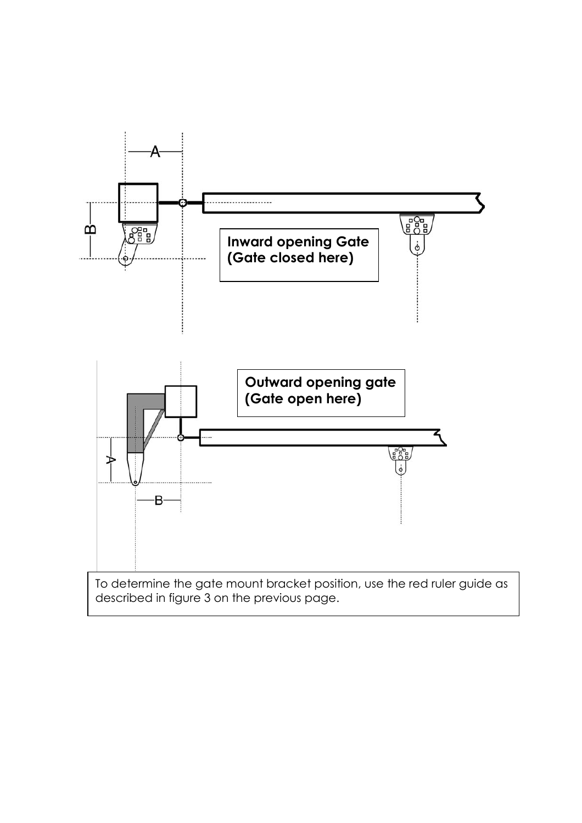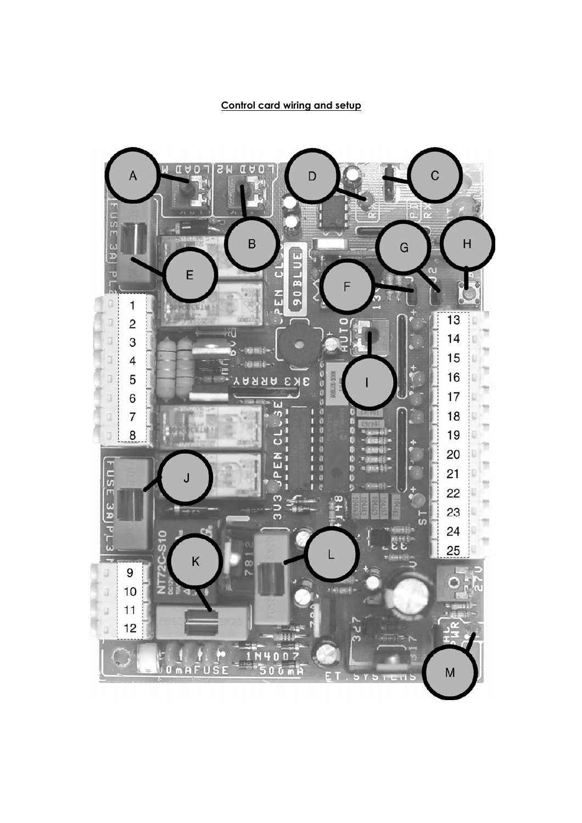## Control card wiring and setup

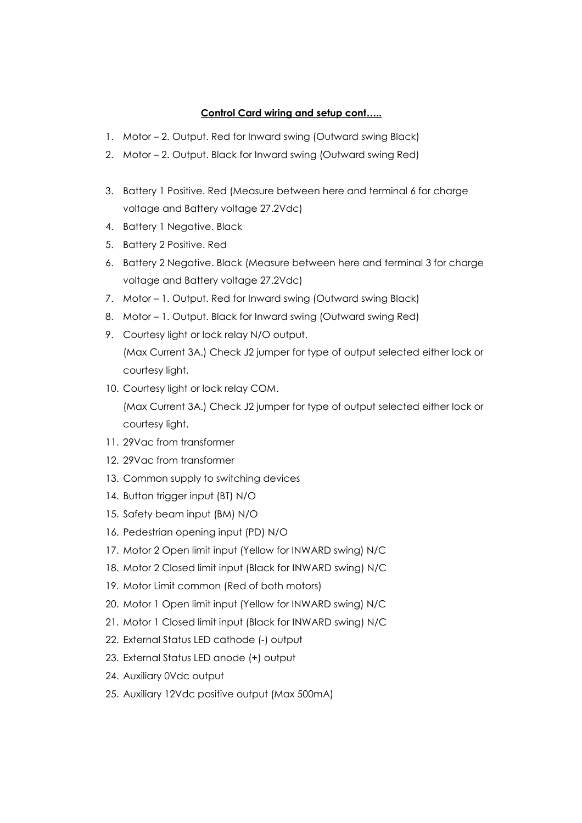## Control Card wiring and setup cont.....

- 1. Motor 2. Output. Red for Inward swing (Outward swing Black)
- 2. Motor 2. Output. Black for Inward swing (Outward swing Red)
- 3. Battery 1 Positive. Red (Measure between here and terminal 6 for charge voltage and Battery voltage 27.2Vdc)
- 4. Battery 1 Negative. Black
- 5. Battery 2 Positive. Red
- 6. Battery 2 Negative. Black (Measure between here and terminal 3 for charge voltage and Battery voltage 27.2Vdc)
- 7. Motor 1. Output. Red for Inward swing (Outward swing Black)
- 8. Motor 1. Output. Black for Inward swing (Outward swing Red)
- 9. Courtesy light or lock relay N/O output. (Max Current 3A.) Check J2 jumper for type of output selected either lock or
- courtesy light. 10. Courtesy light or lock relay COM. (Max Current 3A.) Check J2 jumper for type of output selected either lock or

courtesy light.

- 11. 29Vac from transformer
- 12. 29Vac from transformer
- 13. Common supply to switching devices
- 14. Button trigger input (BT) N/O
- 15. Safety beam input (BM) N/O
- 16. Pedestrian opening input (PD) N/O
- 17. Motor 2 Open limit input (Yellow for INWARD swing) N/C
- 18. Motor 2 Closed limit input (Black for INWARD swing) N/C
- 19. Motor Limit common (Red of both motors)
- 20. Motor 1 Open limit input (Yellow for INWARD swing) N/C
- 21. Motor 1 Closed limit input (Black for INWARD swing) N/C
- 22. External Status LED cathode (-) output
- 23. External Status LED anode (+) output
- 24. Auxiliary 0Vdc output
- 25. Auxiliary 12Vdc positive output (Max 500mA)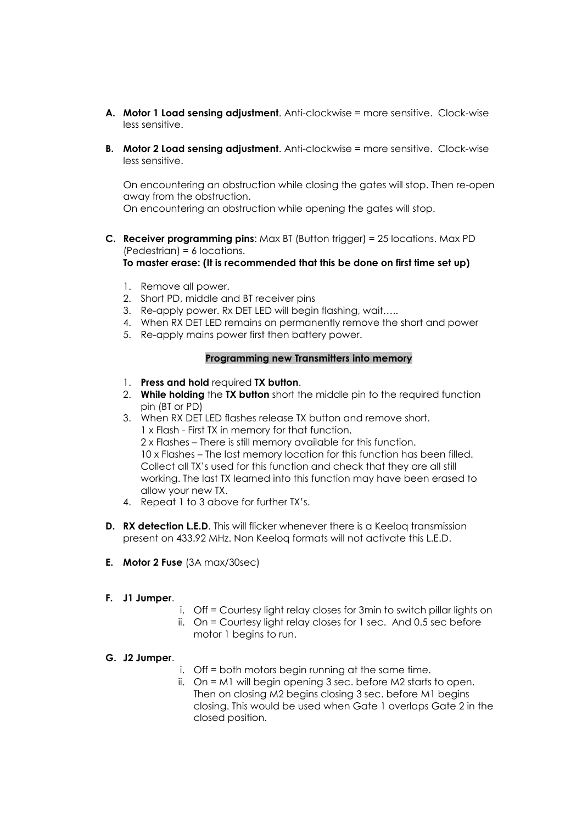- A. Motor 1 Load sensing adjustment. Anti-clockwise = more sensitive. Clock-wise less sensitive.
- **B.** Motor 2 Load sensing adjustment. Anti-clockwise = more sensitive. Clock-wise less sensitive.

On encountering an obstruction while closing the gates will stop. Then re-open away from the obstruction.

On encountering an obstruction while opening the gates will stop.

- **C. Receiver programming pins:** Max BT (Button trigger) = 25 locations. Max PD (Pedestrian) = 6 locations. To master erase: (It is recommended that this be done on first time set up)
	- 1. Remove all power.
	- 2. Short PD, middle and BT receiver pins
	- 3. Re-apply power. Rx DET LED will begin flashing, wait…..
	- 4. When RX DET LED remains on permanently remove the short and power
	- 5. Re-apply mains power first then battery power.

### Programming new Transmitters into memory

- 1. Press and hold required TX button.
- 2. While holding the TX button short the middle pin to the required function pin (BT or PD)
- 3. When RX DET LED flashes release TX button and remove short. 1 x Flash - First TX in memory for that function. 2 x Flashes – There is still memory available for this function. 10 x Flashes – The last memory location for this function has been filled. Collect all TX's used for this function and check that they are all still working. The last TX learned into this function may have been erased to allow your new TX.
- 4. Repeat 1 to 3 above for further TX's.
- **D.** RX detection L.E.D. This will flicker whenever there is a Keelog transmission present on 433.92 MHz. Non Keeloq formats will not activate this L.E.D.
- E. Motor 2 Fuse (3A max/30sec)

### F. J1 Jumper.

- i. Off = Courtesy light relay closes for 3min to switch pillar lights on
- ii. On = Courtesy light relay closes for 1 sec. And 0.5 sec before motor 1 begins to run.

### G. J2 Jumper.

- i. Off = both motors begin running at the same time.
- ii. On = M1 will begin opening 3 sec. before M2 starts to open. Then on closing M2 begins closing 3 sec. before M1 begins closing. This would be used when Gate 1 overlaps Gate 2 in the closed position.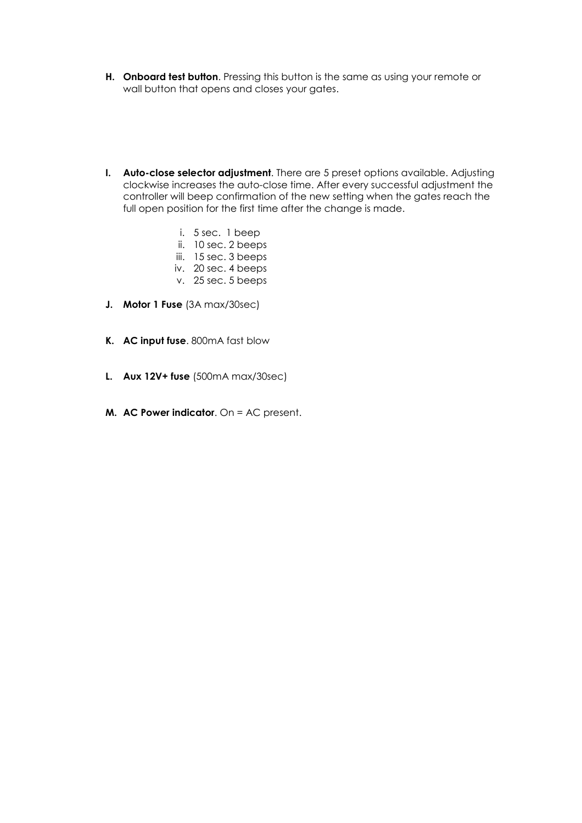- H. Onboard test button. Pressing this button is the same as using your remote or wall button that opens and closes your gates.
- I. Auto-close selector adjustment. There are 5 preset options available. Adjusting clockwise increases the auto-close time. After every successful adjustment the controller will beep confirmation of the new setting when the gates reach the full open position for the first time after the change is made.
	- i. 5 sec. 1 beep
	- ii. 10 sec. 2 beeps
	- iii. 15 sec. 3 beeps
	- iv. 20 sec. 4 beeps
	- v. 25 sec. 5 beeps
- J. Motor 1 Fuse (3A max/30sec)
- K. AC input fuse. 800mA fast blow
- L. Aux 12V+ fuse (500mA max/30sec)
- M. AC Power indicator. On = AC present.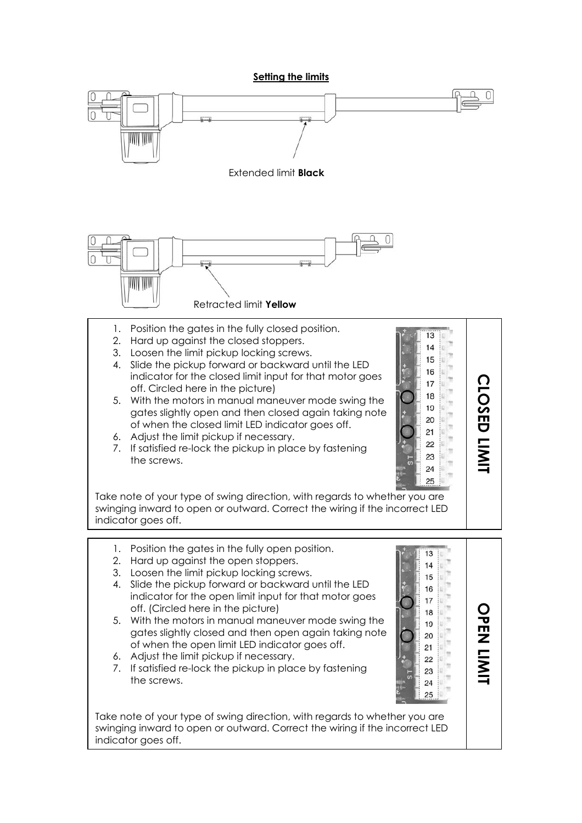Setting the limits

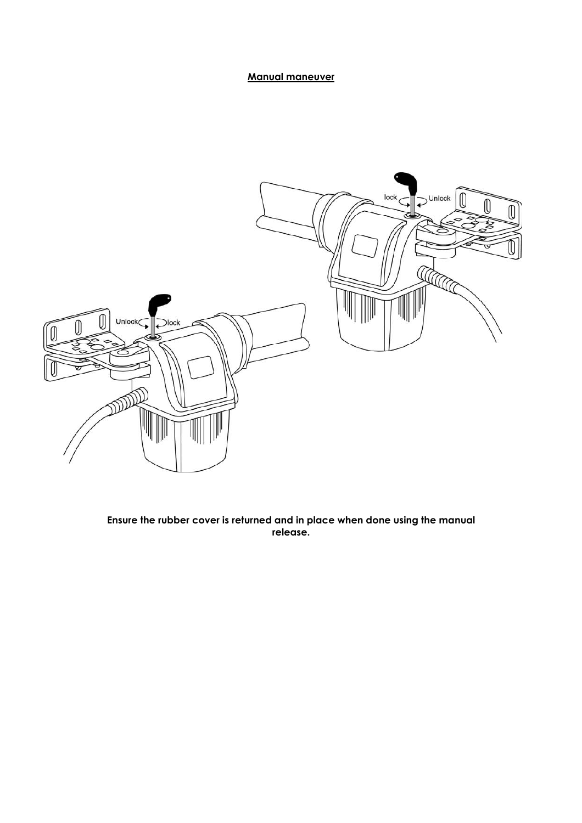## Manual maneuver



Ensure the rubber cover is returned and in place when done using the manual release.